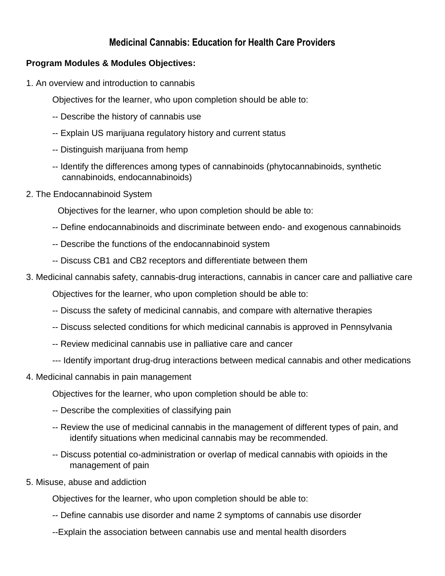## **Medicinal Cannabis: Education for Health Care Providers**

## **Program Modules & Modules Objectives:**

1. An overview and introduction to cannabis

Objectives for the learner, who upon completion should be able to:

- -- Describe the history of cannabis use
- -- Explain US marijuana regulatory history and current status
- -- Distinguish marijuana from hemp
- -- Identify the differences among types of cannabinoids (phytocannabinoids, synthetic cannabinoids, endocannabinoids)
- 2. The Endocannabinoid System

Objectives for the learner, who upon completion should be able to:

- -- Define endocannabinoids and discriminate between endo- and exogenous cannabinoids
- -- Describe the functions of the endocannabinoid system
- -- Discuss CB1 and CB2 receptors and differentiate between them
- 3. Medicinal cannabis safety, cannabis-drug interactions, cannabis in cancer care and palliative care

Objectives for the learner, who upon completion should be able to:

- -- Discuss the safety of medicinal cannabis, and compare with alternative therapies
- -- Discuss selected conditions for which medicinal cannabis is approved in Pennsylvania
- -- Review medicinal cannabis use in palliative care and cancer
- --- Identify important drug-drug interactions between medical cannabis and other medications
- 4. Medicinal cannabis in pain management

Objectives for the learner, who upon completion should be able to:

- -- Describe the complexities of classifying pain
- -- Review the use of medicinal cannabis in the management of different types of pain, and identify situations when medicinal cannabis may be recommended.
- -- Discuss potential co-administration or overlap of medical cannabis with opioids in the management of pain
- 5. Misuse, abuse and addiction

Objectives for the learner, who upon completion should be able to:

- -- Define cannabis use disorder and name 2 symptoms of cannabis use disorder
- --Explain the association between cannabis use and mental health disorders